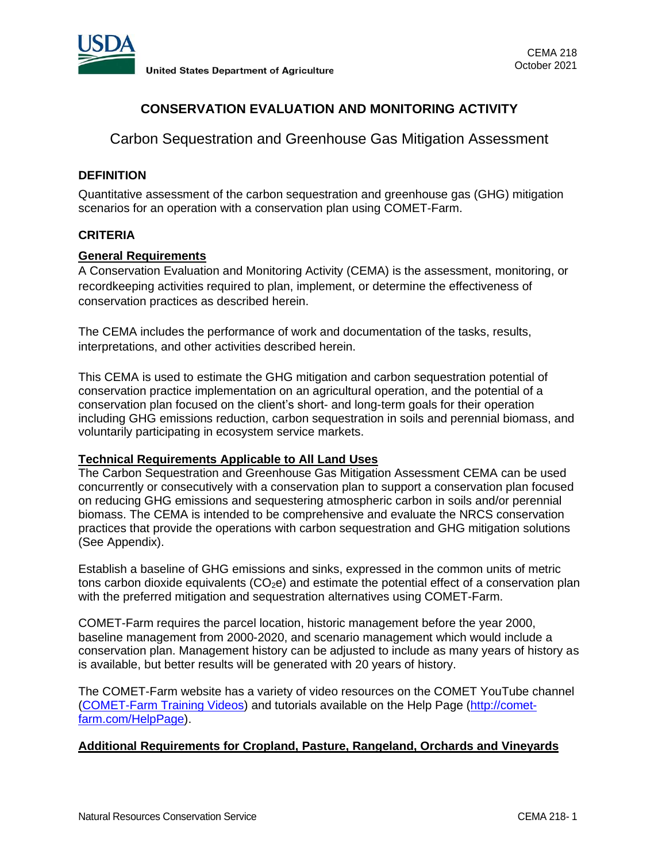

# **CONSERVATION EVALUATION AND MONITORING ACTIVITY**

Carbon Sequestration and Greenhouse Gas Mitigation Assessment

# **DEFINITION**

Quantitative assessment of the carbon sequestration and greenhouse gas (GHG) mitigation scenarios for an operation with a conservation plan using COMET-Farm.

## **CRITERIA**

## **General Requirements**

A Conservation Evaluation and Monitoring Activity (CEMA) is the assessment, monitoring, or recordkeeping activities required to plan, implement, or determine the effectiveness of conservation practices as described herein.

The CEMA includes the performance of work and documentation of the tasks, results, interpretations, and other activities described herein.

This CEMA is used to estimate the GHG mitigation and carbon sequestration potential of conservation practice implementation on an agricultural operation, and the potential of a conservation plan focused on the client's short- and long-term goals for their operation including GHG emissions reduction, carbon sequestration in soils and perennial biomass, and voluntarily participating in ecosystem service markets.

#### **Technical Requirements Applicable to All Land Uses**

The Carbon Sequestration and Greenhouse Gas Mitigation Assessment CEMA can be used concurrently or consecutively with a conservation plan to support a conservation plan focused on reducing GHG emissions and sequestering atmospheric carbon in soils and/or perennial biomass. The CEMA is intended to be comprehensive and evaluate the NRCS conservation practices that provide the operations with carbon sequestration and GHG mitigation solutions (See Appendix).

Establish a baseline of GHG emissions and sinks, expressed in the common units of metric tons carbon dioxide equivalents  $(CO_2e)$  and estimate the potential effect of a conservation plan with the preferred mitigation and sequestration alternatives using COMET-Farm.

COMET-Farm requires the parcel location, historic management before the year 2000, baseline management from 2000-2020, and scenario management which would include a conservation plan. Management history can be adjusted to include as many years of history as is available, but better results will be generated with 20 years of history.

The COMET-Farm website has a variety of video resources on the COMET YouTube channel [\(COMET-Farm Training Videos\)](https://www.youtube.com/channel/UCvOGivFLX9klViSpSNYVqdw/videos) and tutorials available on the Help Page (http://cometfarm.com/HelpPage).

#### **Additional Requirements for Cropland, Pasture, Rangeland, Orchards and Vineyards**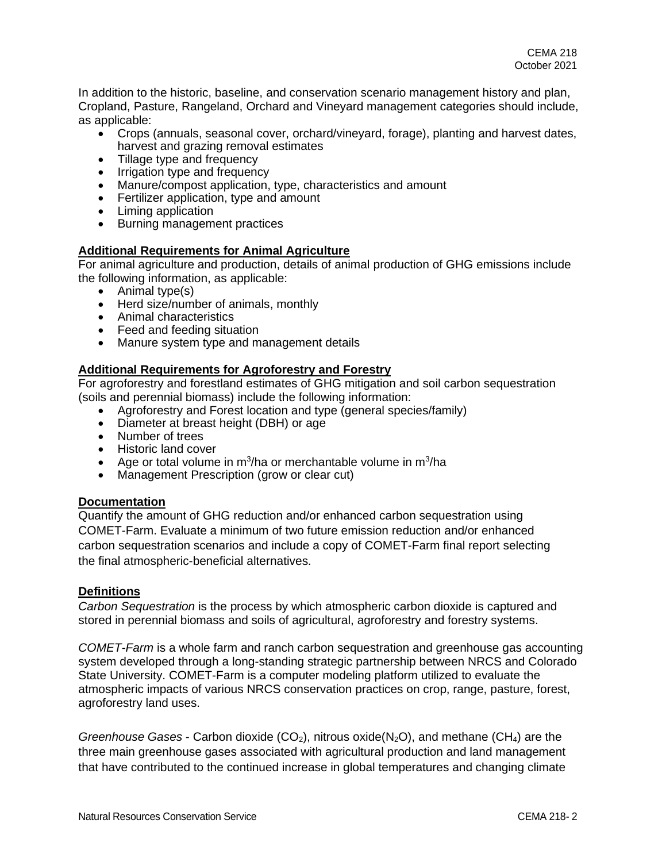In addition to the historic, baseline, and conservation scenario management history and plan, Cropland, Pasture, Rangeland, Orchard and Vineyard management categories should include, as applicable:

- Crops (annuals, seasonal cover, orchard/vineyard, forage), planting and harvest dates, harvest and grazing removal estimates
- Tillage type and frequency
- Irrigation type and frequency
- Manure/compost application, type, characteristics and amount
- Fertilizer application, type and amount
- Liming application
- Burning management practices

## **Additional Requirements for Animal Agriculture**

For animal agriculture and production, details of animal production of GHG emissions include the following information, as applicable:

- Animal type(s)
- Herd size/number of animals, monthly
- Animal characteristics
- Feed and feeding situation
- Manure system type and management details

## **Additional Requirements for Agroforestry and Forestry**

For agroforestry and forestland estimates of GHG mitigation and soil carbon sequestration (soils and perennial biomass) include the following information:

- Agroforestry and Forest location and type (general species/family)
- Diameter at breast height (DBH) or age
- Number of trees
- Historic land cover
- Age or total volume in  $m^3/ha$  or merchantable volume in  $m^3/ha$
- Management Prescription (grow or clear cut)

#### **Documentation**

Quantify the amount of GHG reduction and/or enhanced carbon sequestration using COMET-Farm. Evaluate a minimum of two future emission reduction and/or enhanced carbon sequestration scenarios and include a copy of COMET-Farm final report selecting the final atmospheric-beneficial alternatives.

#### **Definitions**

*Carbon Sequestration* is the process by which atmospheric carbon dioxide is captured and stored in perennial biomass and soils of agricultural, agroforestry and forestry systems.

*COMET-Farm* is a whole farm and ranch carbon sequestration and greenhouse gas accounting system developed through a long-standing strategic partnership between NRCS and Colorado State University. COMET-Farm is a computer modeling platform utilized to evaluate the atmospheric impacts of various NRCS conservation practices on crop, range, pasture, forest, agroforestry land uses.

*Greenhouse Gases* - Carbon dioxide (CO<sub>2</sub>), nitrous oxide( $N_2O$ ), and methane (CH<sub>4</sub>) are the three main greenhouse gases associated with agricultural production and land management that have contributed to the continued increase in global temperatures and changing climate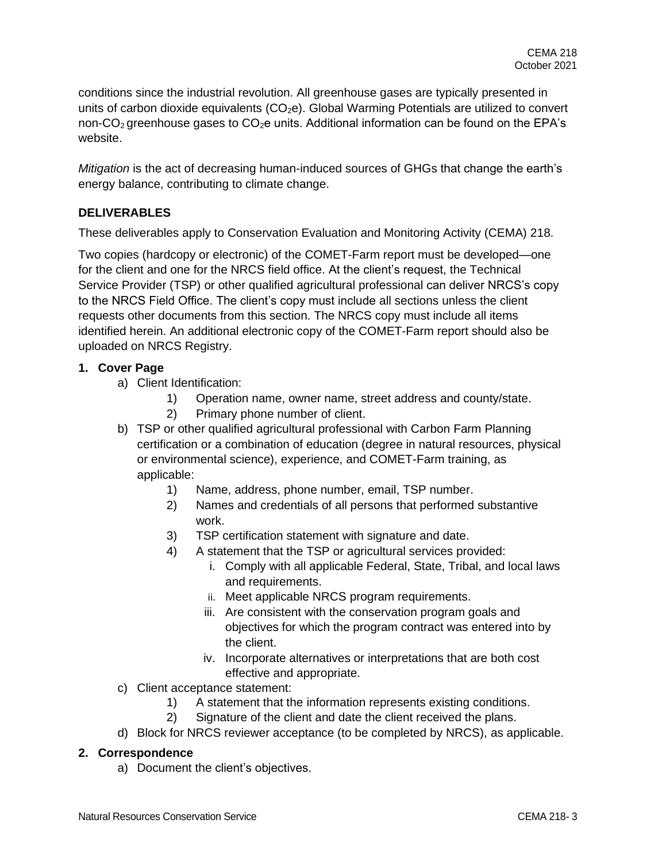conditions since the industrial revolution. All greenhouse gases are typically presented in units of carbon dioxide equivalents  $(CO<sub>2</sub>e)$ . Global Warming Potentials are utilized to convert non-CO<sub>2</sub> greenhouse gases to CO<sub>2</sub>e units. Additional information can be found on the EPA's website.

*Mitigation* is the act of decreasing human-induced sources of GHGs that change the earth's energy balance, contributing to climate change.

# **DELIVERABLES**

These deliverables apply to Conservation Evaluation and Monitoring Activity (CEMA) 218.

Two copies (hardcopy or electronic) of the COMET-Farm report must be developed—one for the client and one for the NRCS field office. At the client's request, the Technical Service Provider (TSP) or other qualified agricultural professional can deliver NRCS's copy to the NRCS Field Office. The client's copy must include all sections unless the client requests other documents from this section. The NRCS copy must include all items identified herein. An additional electronic copy of the COMET-Farm report should also be uploaded on NRCS Registry.

# **1. Cover Page**

- a) Client Identification:
	- 1) Operation name, owner name, street address and county/state.
	- 2) Primary phone number of client.
- b) TSP or other qualified agricultural professional with Carbon Farm Planning certification or a combination of education (degree in natural resources, physical or environmental science), experience, and COMET-Farm training, as applicable:
	- 1) Name, address, phone number, email, TSP number.
	- 2) Names and credentials of all persons that performed substantive work.
	- 3) TSP certification statement with signature and date.
	- 4) A statement that the TSP or agricultural services provided:
		- i. Comply with all applicable Federal, State, Tribal, and local laws and requirements.
		- ii. Meet applicable NRCS program requirements.
		- iii. Are consistent with the conservation program goals and objectives for which the program contract was entered into by the client.
		- iv. Incorporate alternatives or interpretations that are both cost effective and appropriate.
- c) Client acceptance statement:
	- 1) A statement that the information represents existing conditions.
	- 2) Signature of the client and date the client received the plans.
- d) Block for NRCS reviewer acceptance (to be completed by NRCS), as applicable.

# **2. Correspondence**

a) Document the client's objectives.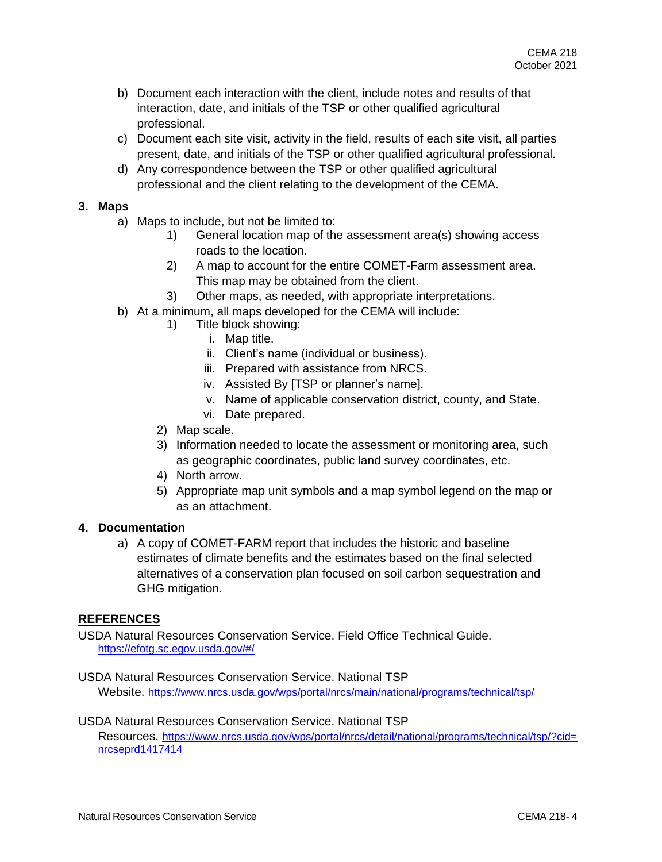- b) Document each interaction with the client, include notes and results of that interaction, date, and initials of the TSP or other qualified agricultural professional.
- c) Document each site visit, activity in the field, results of each site visit, all parties present, date, and initials of the TSP or other qualified agricultural professional.
- d) Any correspondence between the TSP or other qualified agricultural professional and the client relating to the development of the CEMA.

## **3. Maps**

- a) Maps to include, but not be limited to:
	- 1) General location map of the assessment area(s) showing access roads to the location.
	- 2) A map to account for the entire COMET-Farm assessment area. This map may be obtained from the client.
	- 3) Other maps, as needed, with appropriate interpretations.
- b) At a minimum, all maps developed for the CEMA will include:
	- 1) Title block showing:
		- i. Map title.
		- ii. Client's name (individual or business).
		- iii. Prepared with assistance from NRCS.
		- iv. Assisted By [TSP or planner's name].
		- v. Name of applicable conservation district, county, and State.
		- vi. Date prepared.
	- 2) Map scale.
	- 3) Information needed to locate the assessment or monitoring area, such as geographic coordinates, public land survey coordinates, etc.
	- 4) North arrow.
	- 5) Appropriate map unit symbols and a map symbol legend on the map or as an attachment.

# **4. Documentation**

a) A copy of COMET-FARM report that includes the historic and baseline estimates of climate benefits and the estimates based on the final selected alternatives of a conservation plan focused on soil carbon sequestration and GHG mitigation.

#### **REFERENCES**

USDA Natural Resources Conservation Service. Field Office Technical Guide. <https://efotg.sc.egov.usda.gov/#/>

USDA Natural Resources Conservation Service. National TSP Website. <https://www.nrcs.usda.gov/wps/portal/nrcs/main/national/programs/technical/tsp/>

#### USDA Natural Resources Conservation Service. National TSP

Resources. [https://www.nrcs.usda.gov/wps/portal/nrcs/detail/national/programs/technical/tsp/?cid=](https://www.nrcs.usda.gov/wps/portal/nrcs/detail/national/programs/technical/tsp/?cid=nrcseprd1417414) [nrcseprd1417414](https://www.nrcs.usda.gov/wps/portal/nrcs/detail/national/programs/technical/tsp/?cid=nrcseprd1417414)